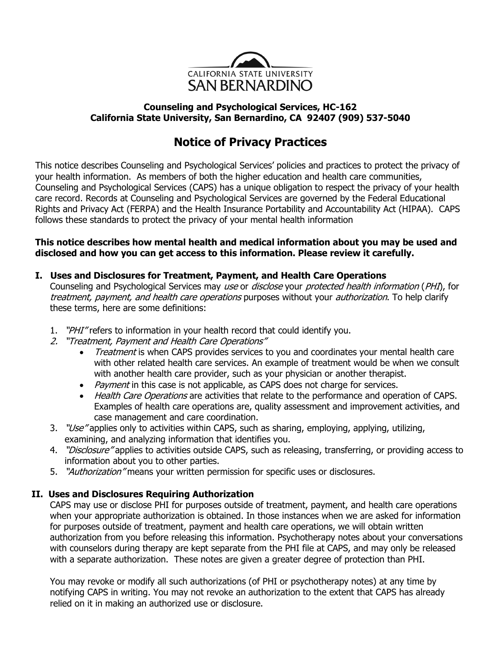

## **Counseling and Psychological Services, HC-162 California State University, San Bernardino, CA 92407 (909) 537-5040**

# **Notice of Privacy Practices**

This notice describes Counseling and Psychological Services' policies and practices to protect the privacy of your health information. As members of both the higher education and health care communities, Counseling and Psychological Services (CAPS) has a unique obligation to respect the privacy of your health care record. Records at Counseling and Psychological Services are governed by the Federal Educational Rights and Privacy Act (FERPA) and the Health Insurance Portability and Accountability Act (HIPAA). CAPS follows these standards to protect the privacy of your mental health information

## **This notice describes how mental health and medical information about you may be used and disclosed and how you can get access to this information. Please review it carefully.**

# **I. Uses and Disclosures for Treatment, Payment, and Health Care Operations**

Counseling and Psychological Services may use or disclose your protected health information (PHI), for treatment, payment, and health care operations purposes without your authorization. To help clarify these terms, here are some definitions:

- 1. "PHI" refers to information in your health record that could identify you.
- 2. "Treatment, Payment and Health Care Operations"
	- Treatment is when CAPS provides services to you and coordinates your mental health care with other related health care services. An example of treatment would be when we consult with another health care provider, such as your physician or another therapist.
	- Payment in this case is not applicable, as CAPS does not charge for services.
	- Health Care Operations are activities that relate to the performance and operation of CAPS. Examples of health care operations are, quality assessment and improvement activities, and case management and care coordination.
- 3. "Use" applies only to activities within CAPS, such as sharing, employing, applying, utilizing, examining, and analyzing information that identifies you.
- 4. "Disclosure" applies to activities outside CAPS, such as releasing, transferring, or providing access to information about you to other parties.
- 5. "Authorization" means your written permission for specific uses or disclosures.

# **II. Uses and Disclosures Requiring Authorization**

CAPS may use or disclose PHI for purposes outside of treatment, payment, and health care operations when your appropriate authorization is obtained. In those instances when we are asked for information for purposes outside of treatment, payment and health care operations, we will obtain written authorization from you before releasing this information. Psychotherapy notes about your conversations with counselors during therapy are kept separate from the PHI file at CAPS, and may only be released with a separate authorization. These notes are given a greater degree of protection than PHI.

You may revoke or modify all such authorizations (of PHI or psychotherapy notes) at any time by notifying CAPS in writing. You may not revoke an authorization to the extent that CAPS has already relied on it in making an authorized use or disclosure.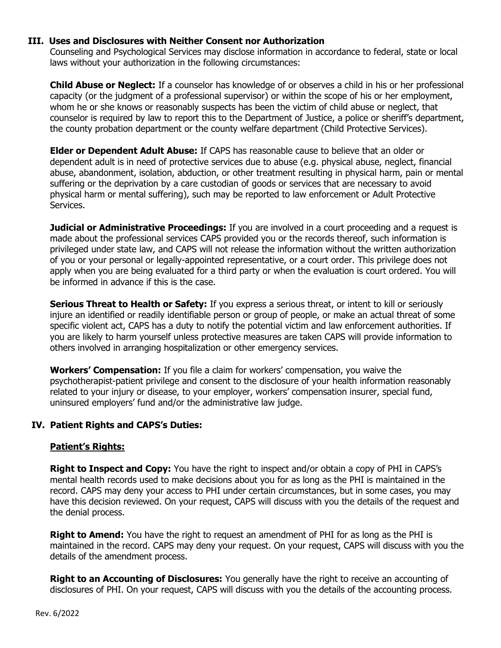## **III. Uses and Disclosures with Neither Consent nor Authorization**

Counseling and Psychological Services may disclose information in accordance to federal, state or local laws without your authorization in the following circumstances:

**Child Abuse or Neglect:** If a counselor has knowledge of or observes a child in his or her professional capacity (or the judgment of a professional supervisor) or within the scope of his or her employment, whom he or she knows or reasonably suspects has been the victim of child abuse or neglect, that counselor is required by law to report this to the Department of Justice, a police or sheriff's department, the county probation department or the county welfare department (Child Protective Services).

**Elder or Dependent Adult Abuse:** If CAPS has reasonable cause to believe that an older or dependent adult is in need of protective services due to abuse (e.g. physical abuse, neglect, financial abuse, abandonment, isolation, abduction, or other treatment resulting in physical harm, pain or mental suffering or the deprivation by a care custodian of goods or services that are necessary to avoid physical harm or mental suffering), such may be reported to law enforcement or Adult Protective Services.

**Judicial or Administrative Proceedings:** If you are involved in a court proceeding and a request is made about the professional services CAPS provided you or the records thereof, such information is privileged under state law, and CAPS will not release the information without the written authorization of you or your personal or legally-appointed representative, or a court order. This privilege does not apply when you are being evaluated for a third party or when the evaluation is court ordered. You will be informed in advance if this is the case.

**Serious Threat to Health or Safety:** If you express a serious threat, or intent to kill or seriously injure an identified or readily identifiable person or group of people, or make an actual threat of some specific violent act, CAPS has a duty to notify the potential victim and law enforcement authorities. If you are likely to harm yourself unless protective measures are taken CAPS will provide information to others involved in arranging hospitalization or other emergency services.

**Workers' Compensation:** If you file a claim for workers' compensation, you waive the psychotherapist-patient privilege and consent to the disclosure of your health information reasonably related to your injury or disease, to your employer, workers' compensation insurer, special fund, uninsured employers' fund and/or the administrative law judge.

## **IV. Patient Rights and CAPS's Duties:**

#### **Patient's Rights:**

**Right to Inspect and Copy:** You have the right to inspect and/or obtain a copy of PHI in CAPS's mental health records used to make decisions about you for as long as the PHI is maintained in the record. CAPS may deny your access to PHI under certain circumstances, but in some cases, you may have this decision reviewed. On your request, CAPS will discuss with you the details of the request and the denial process.

**Right to Amend:** You have the right to request an amendment of PHI for as long as the PHI is maintained in the record. CAPS may deny your request. On your request, CAPS will discuss with you the details of the amendment process.

**Right to an Accounting of Disclosures:** You generally have the right to receive an accounting of disclosures of PHI. On your request, CAPS will discuss with you the details of the accounting process.